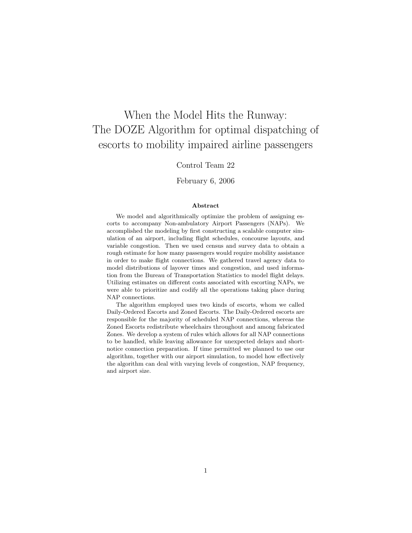# When the Model Hits the Runway: The DOZE Algorithm for optimal dispatching of escorts to mobility impaired airline passengers

## Control Team 22

## February 6, 2006

#### Abstract

We model and algorithmically optimize the problem of assigning escorts to accompany Non-ambulatory Airport Passengers (NAPs). We accomplished the modeling by first constructing a scalable computer simulation of an airport, including flight schedules, concourse layouts, and variable congestion. Then we used census and survey data to obtain a rough estimate for how many passengers would require mobility assistance in order to make flight connections. We gathered travel agency data to model distributions of layover times and congestion, and used information from the Bureau of Transportation Statistics to model flight delays. Utilizing estimates on different costs associated with escorting NAPs, we were able to prioritize and codify all the operations taking place during NAP connections.

The algorithm employed uses two kinds of escorts, whom we called Daily-Ordered Escorts and Zoned Escorts. The Daily-Ordered escorts are responsible for the majority of scheduled NAP connections, whereas the Zoned Escorts redistribute wheelchairs throughout and among fabricated Zones. We develop a system of rules which allows for all NAP connections to be handled, while leaving allowance for unexpected delays and shortnotice connection preparation. If time permitted we planned to use our algorithm, together with our airport simulation, to model how effectively the algorithm can deal with varying levels of congestion, NAP frequency, and airport size.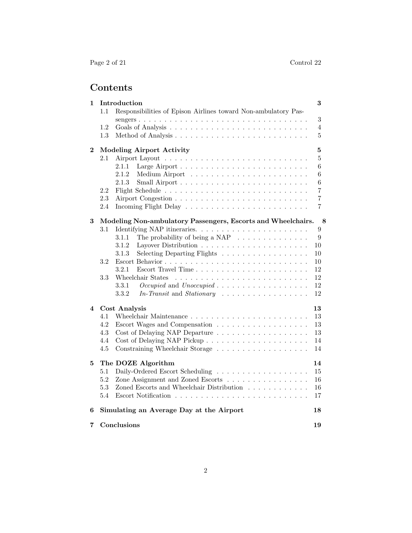# Contents

| 1        |                                  | Introduction                                                          | 3                |
|----------|----------------------------------|-----------------------------------------------------------------------|------------------|
|          | 1.1                              | Responsibilities of Epison Airlines toward Non-ambulatory Pas-        |                  |
|          |                                  |                                                                       | $\boldsymbol{3}$ |
|          | 1.2                              |                                                                       | 4                |
|          | 1.3                              |                                                                       | 5                |
| $\bf{2}$ | <b>Modeling Airport Activity</b> |                                                                       | 5                |
|          | 2.1                              |                                                                       | 5                |
|          |                                  | 2.1.1                                                                 | 6                |
|          |                                  | 2.1.2                                                                 | 6                |
|          |                                  | 2.1.3                                                                 | $\,6$            |
|          | 2.2                              |                                                                       | 7                |
|          | 2.3                              |                                                                       | $\overline{7}$   |
|          | 2.4                              |                                                                       | 7                |
|          |                                  |                                                                       |                  |
| 3        |                                  | Modeling Non-ambulatory Passengers, Escorts and Wheelchairs.          | 8                |
|          | 3.1                              |                                                                       | $\boldsymbol{9}$ |
|          |                                  | The probability of being a NAP $\ldots \ldots \ldots \ldots$<br>3.1.1 | 9                |
|          |                                  | 3.1.2<br>3.1.3                                                        | 10               |
|          |                                  | Selecting Departing Flights                                           | 10               |
|          | 3.2                              | 3.2.1                                                                 | 10               |
|          |                                  |                                                                       | 12               |
|          | 3.3                              | Wheelchair States<br>3.3.1                                            | 12<br>12         |
|          |                                  | 3.3.2                                                                 | 12               |
|          |                                  |                                                                       |                  |
| 4        | Cost Analysis                    |                                                                       | 13               |
|          | 4.1                              |                                                                       | 13               |
|          | 4.2                              |                                                                       | 13               |
|          | 4.3                              |                                                                       | 13               |
|          | 4.4                              |                                                                       | 14               |
|          | 4.5                              |                                                                       | 14               |
| 5        |                                  | The DOZE Algorithm                                                    | 14               |
|          | 5.1                              |                                                                       | 15               |
|          | 5.2                              | Zone Assignment and Zoned Escorts                                     | 16               |
|          | 5.3                              | Zoned Escorts and Wheelchair Distribution                             | 16               |
|          | 5.4                              |                                                                       | 17               |
| 6        |                                  | Simulating an Average Day at the Airport                              | 18               |
| 7        |                                  | Conclusions                                                           | 19               |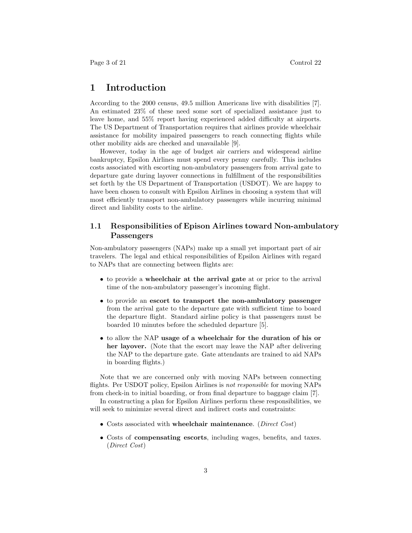# 1 Introduction

According to the 2000 census, 49.5 million Americans live with disabilities [7]. An estimated 23% of these need some sort of specialized assistance just to leave home, and 55% report having experienced added difficulty at airports. The US Department of Transportation requires that airlines provide wheelchair assistance for mobility impaired passengers to reach connecting flights while other mobility aids are checked and unavailable [9].

However, today in the age of budget air carriers and widespread airline bankruptcy, Epsilon Airlines must spend every penny carefully. This includes costs associated with escorting non-ambulatory passengers from arrival gate to departure gate during layover connections in fulfillment of the responsibilities set forth by the US Department of Transportation (USDOT). We are happy to have been chosen to consult with Epsilon Airlines in choosing a system that will most efficiently transport non-ambulatory passengers while incurring minimal direct and liability costs to the airline.

## 1.1 Responsibilities of Epison Airlines toward Non-ambulatory Passengers

Non-ambulatory passengers (NAPs) make up a small yet important part of air travelers. The legal and ethical responsibilities of Epsilon Airlines with regard to NAPs that are connecting between flights are:

- to provide a wheelchair at the arrival gate at or prior to the arrival time of the non-ambulatory passenger's incoming flight.
- to provide an escort to transport the non-ambulatory passenger from the arrival gate to the departure gate with sufficient time to board the departure flight. Standard airline policy is that passengers must be boarded 10 minutes before the scheduled departure [5].
- to allow the NAP usage of a wheelchair for the duration of his or her layover. (Note that the escort may leave the NAP after delivering the NAP to the departure gate. Gate attendants are trained to aid NAPs in boarding flights.)

Note that we are concerned only with moving NAPs between connecting flights. Per USDOT policy, Epsilon Airlines is not responsible for moving NAPs from check-in to initial boarding, or from final departure to baggage claim [7].

In constructing a plan for Epsilon Airlines perform these responsibilities, we will seek to minimize several direct and indirect costs and constraints:

- Costs associated with wheelchair maintenance. (*Direct Cost*)
- Costs of compensating escorts, including wages, benefits, and taxes. (Direct Cost)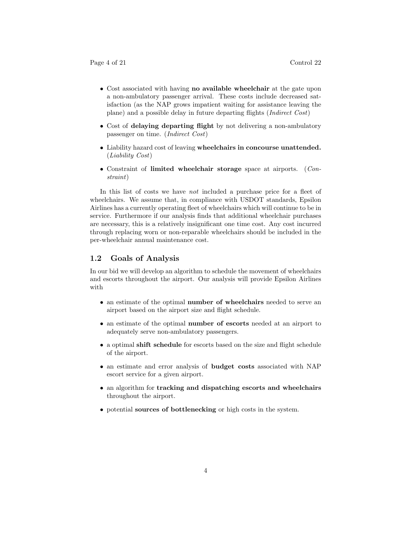- Cost associated with having no available wheelchair at the gate upon a non-ambulatory passenger arrival. These costs include decreased satisfaction (as the NAP grows impatient waiting for assistance leaving the plane) and a possible delay in future departing flights (Indirect Cost)
- Cost of delaying departing flight by not delivering a non-ambulatory passenger on time. (Indirect Cost)
- Liability hazard cost of leaving wheelchairs in concourse unattended. (Liability Cost)
- Constraint of limited wheelchair storage space at airports. (Constraint)

In this list of costs we have *not* included a purchase price for a fleet of wheelchairs. We assume that, in compliance with USDOT standards, Epsilon Airlines has a currently operating fleet of wheelchairs which will continue to be in service. Furthermore if our analysis finds that additional wheelchair purchases are necessary, this is a relatively insignificant one time cost. Any cost incurred through replacing worn or non-reparable wheelchairs should be included in the per-wheelchair annual maintenance cost.

#### 1.2 Goals of Analysis

In our bid we will develop an algorithm to schedule the movement of wheelchairs and escorts throughout the airport. Our analysis will provide Epsilon Airlines with

- an estimate of the optimal number of wheelchairs needed to serve an airport based on the airport size and flight schedule.
- an estimate of the optimal **number of escorts** needed at an airport to adequately serve non-ambulatory passengers.
- a optimal shift schedule for escorts based on the size and flight schedule of the airport.
- an estimate and error analysis of budget costs associated with NAP escort service for a given airport.
- an algorithm for tracking and dispatching escorts and wheelchairs throughout the airport.
- potential sources of bottlenecking or high costs in the system.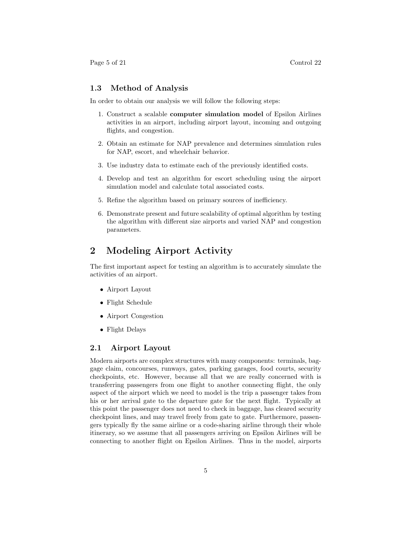Page 5 of 21 Control 22

### 1.3 Method of Analysis

In order to obtain our analysis we will follow the following steps:

- 1. Construct a scalable computer simulation model of Epsilon Airlines activities in an airport, including airport layout, incoming and outgoing flights, and congestion.
- 2. Obtain an estimate for NAP prevalence and determines simulation rules for NAP, escort, and wheelchair behavior.
- 3. Use industry data to estimate each of the previously identified costs.
- 4. Develop and test an algorithm for escort scheduling using the airport simulation model and calculate total associated costs.
- 5. Refine the algorithm based on primary sources of inefficiency.
- 6. Demonstrate present and future scalability of optimal algorithm by testing the algorithm with different size airports and varied NAP and congestion parameters.

# 2 Modeling Airport Activity

The first important aspect for testing an algorithm is to accurately simulate the activities of an airport.

- Airport Layout
- Flight Schedule
- Airport Congestion
- Flight Delays

## 2.1 Airport Layout

Modern airports are complex structures with many components: terminals, baggage claim, concourses, runways, gates, parking garages, food courts, security checkpoints, etc. However, because all that we are really concerned with is transferring passengers from one flight to another connecting flight, the only aspect of the airport which we need to model is the trip a passenger takes from his or her arrival gate to the departure gate for the next flight. Typically at this point the passenger does not need to check in baggage, has cleared security checkpoint lines, and may travel freely from gate to gate. Furthermore, passengers typically fly the same airline or a code-sharing airline through their whole itinerary, so we assume that all passengers arriving on Epsilon Airlines will be connecting to another flight on Epsilon Airlines. Thus in the model, airports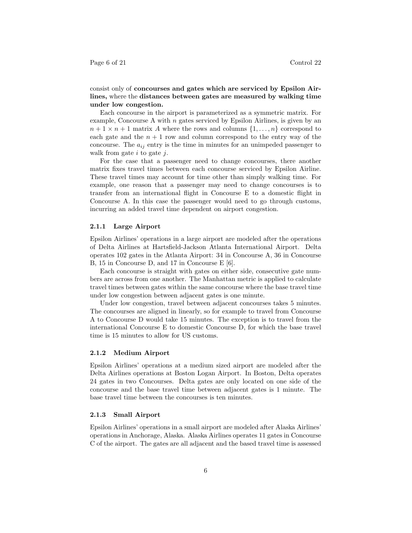consist only of concourses and gates which are serviced by Epsilon Airlines, where the distances between gates are measured by walking time under low congestion.

Each concourse in the airport is parameterized as a symmetric matrix. For example, Concourse A with  $n$  gates serviced by Epsilon Airlines, is given by an  $n+1 \times n+1$  matrix A where the rows and columns  $\{1, \ldots, n\}$  correspond to each gate and the  $n + 1$  row and column correspond to the entry way of the concourse. The  $a_{ij}$  entry is the time in minutes for an unimpeded passenger to walk from gate  $i$  to gate  $j$ .

For the case that a passenger need to change concourses, there another matrix fixes travel times between each concourse serviced by Epsilon Airline. These travel times may account for time other than simply walking time. For example, one reason that a passenger may need to change concourses is to transfer from an international flight in Concourse E to a domestic flight in Concourse A. In this case the passenger would need to go through customs, incurring an added travel time dependent on airport congestion.

#### 2.1.1 Large Airport

Epsilon Airlines' operations in a large airport are modeled after the operations of Delta Airlines at Hartsfield-Jackson Atlanta International Airport. Delta operates 102 gates in the Atlanta Airport: 34 in Concourse A, 36 in Concourse B, 15 in Concourse D, and 17 in Concourse E [6].

Each concourse is straight with gates on either side, consecutive gate numbers are across from one another. The Manhattan metric is applied to calculate travel times between gates within the same concourse where the base travel time under low congestion between adjacent gates is one minute.

Under low congestion, travel between adjacent concourses takes 5 minutes. The concourses are aligned in linearly, so for example to travel from Concourse A to Concourse D would take 15 minutes. The exception is to travel from the international Concourse E to domestic Concourse D, for which the base travel time is 15 minutes to allow for US customs.

#### 2.1.2 Medium Airport

Epsilon Airlines' operations at a medium sized airport are modeled after the Delta Airlines operations at Boston Logan Airport. In Boston, Delta operates 24 gates in two Concourses. Delta gates are only located on one side of the concourse and the base travel time between adjacent gates is 1 minute. The base travel time between the concourses is ten minutes.

#### 2.1.3 Small Airport

Epsilon Airlines' operations in a small airport are modeled after Alaska Airlines' operations in Anchorage, Alaska. Alaska Airlines operates 11 gates in Concourse C of the airport. The gates are all adjacent and the based travel time is assessed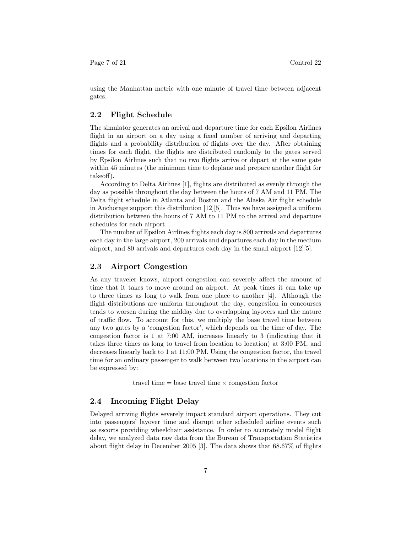using the Manhattan metric with one minute of travel time between adjacent gates.

## 2.2 Flight Schedule

The simulator generates an arrival and departure time for each Epsilon Airlines flight in an airport on a day using a fixed number of arriving and departing flights and a probability distribution of flights over the day. After obtaining times for each flight, the flights are distributed randomly to the gates served by Epsilon Airlines such that no two flights arrive or depart at the same gate within 45 minutes (the minimum time to deplane and prepare another flight for takeoff).

According to Delta Airlines [1], flights are distributed as evenly through the day as possible throughout the day between the hours of 7 AM and 11 PM. The Delta flight schedule in Atlanta and Boston and the Alaska Air flight schedule in Anchorage support this distribution  $[12][5]$ . Thus we have assigned a uniform distribution between the hours of 7 AM to 11 PM to the arrival and departure schedules for each airport.

The number of Epsilon Airlines flights each day is 800 arrivals and departures each day in the large airport, 200 arrivals and departures each day in the medium airport, and 80 arrivals and departures each day in the small airport [12][5].

#### 2.3 Airport Congestion

As any traveler knows, airport congestion can severely affect the amount of time that it takes to move around an airport. At peak times it can take up to three times as long to walk from one place to another [4]. Although the flight distributions are uniform throughout the day, congestion in concourses tends to worsen during the midday due to overlapping layovers and the nature of traffic flow. To account for this, we multiply the base travel time between any two gates by a 'congestion factor', which depends on the time of day. The congestion factor is 1 at 7:00 AM, increases linearly to 3 (indicating that it takes three times as long to travel from location to location) at 3:00 PM, and decreases linearly back to 1 at 11:00 PM. Using the congestion factor, the travel time for an ordinary passenger to walk between two locations in the airport can be expressed by:

travel time  $=$  base travel time  $\times$  congestion factor

#### 2.4 Incoming Flight Delay

Delayed arriving flights severely impact standard airport operations. They cut into passengers' layover time and disrupt other scheduled airline events such as escorts providing wheelchair assistance. In order to accurately model flight delay, we analyzed data raw data from the Bureau of Transportation Statistics about flight delay in December 2005 [3]. The data shows that 68.67% of flights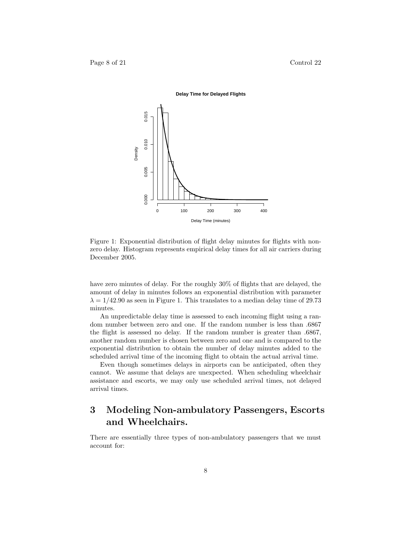

Figure 1: Exponential distribution of flight delay minutes for flights with nonzero delay. Histogram represents empirical delay times for all air carriers during December 2005.

have zero minutes of delay. For the roughly 30% of flights that are delayed, the amount of delay in minutes follows an exponential distribution with parameter  $\lambda = 1/42.90$  as seen in Figure 1. This translates to a median delay time of 29.73 minutes.

An unpredictable delay time is assessed to each incoming flight using a random number between zero and one. If the random number is less than .6867 the flight is assessed no delay. If the random number is greater than .6867, another random number is chosen between zero and one and is compared to the exponential distribution to obtain the number of delay minutes added to the scheduled arrival time of the incoming flight to obtain the actual arrival time.

Even though sometimes delays in airports can be anticipated, often they cannot. We assume that delays are unexpected. When scheduling wheelchair assistance and escorts, we may only use scheduled arrival times, not delayed arrival times.

# 3 Modeling Non-ambulatory Passengers, Escorts and Wheelchairs.

There are essentially three types of non-ambulatory passengers that we must account for: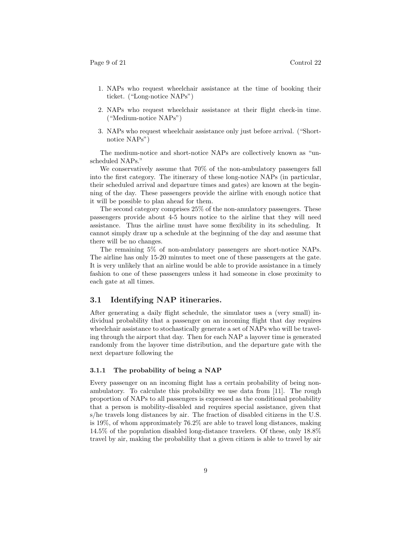- 1. NAPs who request wheelchair assistance at the time of booking their ticket. ("Long-notice NAPs")
- 2. NAPs who request wheelchair assistance at their flight check-in time. ("Medium-notice NAPs")
- 3. NAPs who request wheelchair assistance only just before arrival. ("Shortnotice NAPs")

The medium-notice and short-notice NAPs are collectively known as "unscheduled NAPs."

We conservatively assume that 70% of the non-ambulatory passengers fall into the first category. The itinerary of these long-notice NAPs (in particular, their scheduled arrival and departure times and gates) are known at the beginning of the day. These passengers provide the airline with enough notice that it will be possible to plan ahead for them.

The second category comprises 25% of the non-amulatory passengers. These passengers provide about 4-5 hours notice to the airline that they will need assistance. Thus the airline must have some flexibility in its scheduling. It cannot simply draw up a schedule at the beginning of the day and assume that there will be no changes.

The remaining 5% of non-ambulatory passengers are short-notice NAPs. The airline has only 15-20 minutes to meet one of these passengers at the gate. It is very unlikely that an airline would be able to provide assistance in a timely fashion to one of these passengers unless it had someone in close proximity to each gate at all times.

### 3.1 Identifying NAP itineraries.

After generating a daily flight schedule, the simulator uses a (very small) individual probability that a passenger on an incoming flight that day requires wheelchair assistance to stochastically generate a set of NAPs who will be traveling through the airport that day. Then for each NAP a layover time is generated randomly from the layover time distribution, and the departure gate with the next departure following the

#### 3.1.1 The probability of being a NAP

Every passenger on an incoming flight has a certain probability of being nonambulatory. To calculate this probability we use data from [11]. The rough proportion of NAPs to all passengers is expressed as the conditional probability that a person is mobility-disabled and requires special assistance, given that s/he travels long distances by air. The fraction of disabled citizens in the U.S. is 19%, of whom approximately 76.2% are able to travel long distances, making 14.5% of the population disabled long-distance travelers. Of these, only 18.8% travel by air, making the probability that a given citizen is able to travel by air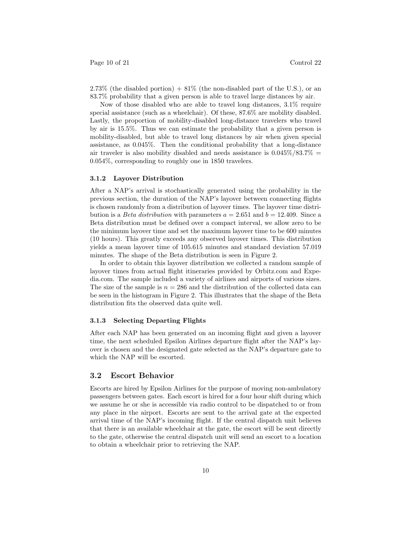$2.73\%$  (the disabled portion)  $+81\%$  (the non-disabled part of the U.S.), or an 83.7% probability that a given person is able to travel large distances by air.

Now of those disabled who are able to travel long distances, 3.1% require special assistance (such as a wheelchair). Of these, 87.6% are mobility disabled. Lastly, the proportion of mobility-disabled long-distance travelers who travel by air is 15.5%. Thus we can estimate the probability that a given person is mobility-disabled, but able to travel long distances by air when given special assistance, as 0.045%. Then the conditional probability that a long-distance air traveler is also mobility disabled and needs assistance is  $0.045\%/83.7\% =$ 0.054%, corresponding to roughly one in 1850 travelers.

#### 3.1.2 Layover Distribution

After a NAP's arrival is stochastically generated using the probability in the previous section, the duration of the NAP's layover between connecting flights is chosen randomly from a distribution of layover times. The layover time distribution is a *Beta distribution* with parameters  $a = 2.651$  and  $b = 12.409$ . Since a Beta distribution must be defined over a compact interval, we allow zero to be the minimum layover time and set the maximum layover time to be 600 minutes (10 hours). This greatly exceeds any observed layover times. This distribution yields a mean layover time of 105.615 minutes and standard deviation 57.019 minutes. The shape of the Beta distribution is seen in Figure 2.

In order to obtain this layover distribution we collected a random sample of layover times from actual flight itineraries provided by Orbitz.com and Expedia.com. The sample included a variety of airlines and airports of various sizes. The size of the sample is  $n = 286$  and the distribution of the collected data can be seen in the histogram in Figure 2. This illustrates that the shape of the Beta distribution fits the observed data quite well.

#### 3.1.3 Selecting Departing Flights

After each NAP has been generated on an incoming flight and given a layover time, the next scheduled Epsilon Airlines departure flight after the NAP's layover is chosen and the designated gate selected as the NAP's departure gate to which the NAP will be escorted.

#### 3.2 Escort Behavior

Escorts are hired by Epsilon Airlines for the purpose of moving non-ambulatory passengers between gates. Each escort is hired for a four hour shift during which we assume he or she is accessible via radio control to be dispatched to or from any place in the airport. Escorts are sent to the arrival gate at the expected arrival time of the NAP's incoming flight. If the central dispatch unit believes that there is an available wheelchair at the gate, the escort will be sent directly to the gate, otherwise the central dispatch unit will send an escort to a location to obtain a wheelchair prior to retrieving the NAP.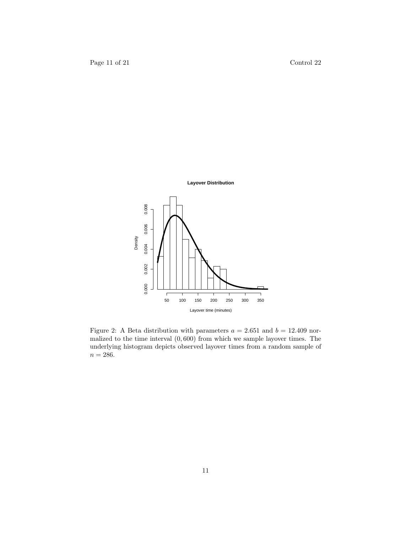



Figure 2: A Beta distribution with parameters  $a = 2.651$  and  $b = 12.409$  normalized to the time interval  $(0, 600)$  from which we sample layover times. The underlying histogram depicts observed layover times from a random sample of  $n=286.$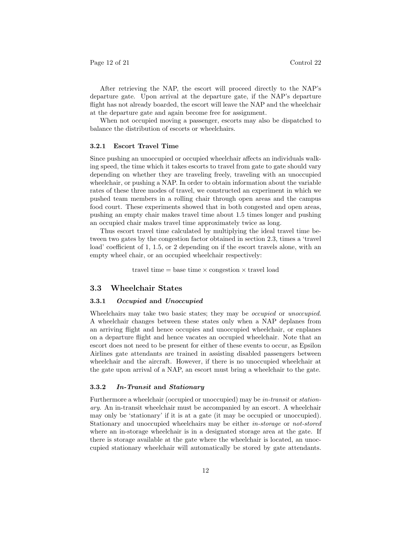After retrieving the NAP, the escort will proceed directly to the NAP's departure gate. Upon arrival at the departure gate, if the NAP's departure flight has not already boarded, the escort will leave the NAP and the wheelchair at the departure gate and again become free for assignment.

When not occupied moving a passenger, escorts may also be dispatched to balance the distribution of escorts or wheelchairs.

#### 3.2.1 Escort Travel Time

Since pushing an unoccupied or occupied wheelchair affects an individuals walking speed, the time which it takes escorts to travel from gate to gate should vary depending on whether they are traveling freely, traveling with an unoccupied wheelchair, or pushing a NAP. In order to obtain information about the variable rates of these three modes of travel, we constructed an experiment in which we pushed team members in a rolling chair through open areas and the campus food court. These experiments showed that in both congested and open areas, pushing an empty chair makes travel time about 1.5 times longer and pushing an occupied chair makes travel time approximately twice as long.

Thus escort travel time calculated by multiplying the ideal travel time between two gates by the congestion factor obtained in section 2.3, times a 'travel load' coefficient of 1, 1.5, or 2 depending on if the escort travels alone, with an empty wheel chair, or an occupied wheelchair respectively:

travel time  $=$  base time  $\times$  congestion  $\times$  travel load

### 3.3 Wheelchair States

#### 3.3.1 Occupied and Unoccupied

Wheelchairs may take two basic states; they may be *occupied* or *unoccupied*. A wheelchair changes between these states only when a NAP deplanes from an arriving flight and hence occupies and unoccupied wheelchair, or enplanes on a departure flight and hence vacates an occupied wheelchair. Note that an escort does not need to be present for either of these events to occur, as Epsilon Airlines gate attendants are trained in assisting disabled passengers between wheelchair and the aircraft. However, if there is no unoccupied wheelchair at the gate upon arrival of a NAP, an escort must bring a wheelchair to the gate.

#### 3.3.2 In-Transit and Stationary

Furthermore a wheelchair (occupied or unoccupied) may be in-transit or stationary. An in-transit wheelchair must be accompanied by an escort. A wheelchair may only be 'stationary' if it is at a gate (it may be occupied or unoccupied). Stationary and unoccupied wheelchairs may be either in-storage or not-stored where an in-storage wheelchair is in a designated storage area at the gate. If there is storage available at the gate where the wheelchair is located, an unoccupied stationary wheelchair will automatically be stored by gate attendants.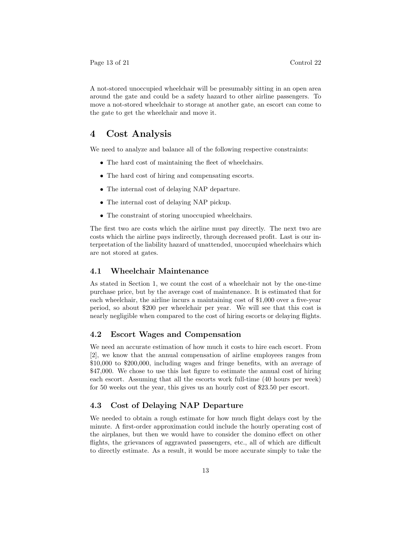A not-stored unoccupied wheelchair will be presumably sitting in an open area around the gate and could be a safety hazard to other airline passengers. To move a not-stored wheelchair to storage at another gate, an escort can come to the gate to get the wheelchair and move it.

# 4 Cost Analysis

We need to analyze and balance all of the following respective constraints:

- The hard cost of maintaining the fleet of wheelchairs.
- The hard cost of hiring and compensating escorts.
- The internal cost of delaying NAP departure.
- The internal cost of delaying NAP pickup.
- The constraint of storing unoccupied wheelchairs.

The first two are costs which the airline must pay directly. The next two are costs which the airline pays indirectly, through decreased profit. Last is our interpretation of the liability hazard of unattended, unoccupied wheelchairs which are not stored at gates.

### 4.1 Wheelchair Maintenance

As stated in Section 1, we count the cost of a wheelchair not by the one-time purchase price, but by the average cost of maintenance. It is estimated that for each wheelchair, the airline incurs a maintaining cost of \$1,000 over a five-year period, so about \$200 per wheelchair per year. We will see that this cost is nearly negligible when compared to the cost of hiring escorts or delaying flights.

#### 4.2 Escort Wages and Compensation

We need an accurate estimation of how much it costs to hire each escort. From [2], we know that the annual compensation of airline employees ranges from \$10,000 to \$200,000, including wages and fringe benefits, with an average of \$47,000. We chose to use this last figure to estimate the annual cost of hiring each escort. Assuming that all the escorts work full-time (40 hours per week) for 50 weeks out the year, this gives us an hourly cost of \$23.50 per escort.

# 4.3 Cost of Delaying NAP Departure

We needed to obtain a rough estimate for how much flight delays cost by the minute. A first-order approximation could include the hourly operating cost of the airplanes, but then we would have to consider the domino effect on other flights, the grievances of aggravated passengers, etc., all of which are difficult to directly estimate. As a result, it would be more accurate simply to take the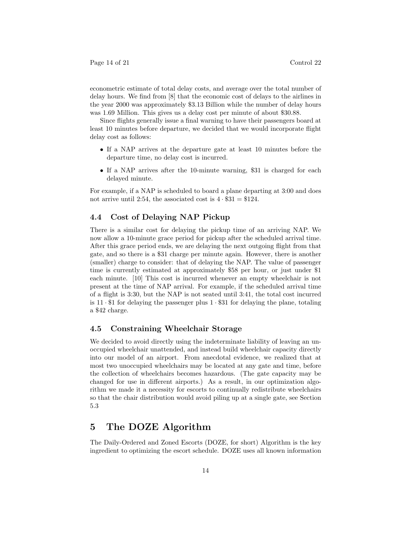econometric estimate of total delay costs, and average over the total number of delay hours. We find from [8] that the economic cost of delays to the airlines in the year 2000 was approximately \$3.13 Billion while the number of delay hours was 1.69 Million. This gives us a delay cost per minute of about \$30.88.

Since flights generally issue a final warning to have their passengers board at least 10 minutes before departure, we decided that we would incorporate flight delay cost as follows:

- If a NAP arrives at the departure gate at least 10 minutes before the departure time, no delay cost is incurred.
- If a NAP arrives after the 10-minute warning, \$31 is charged for each delayed minute.

For example, if a NAP is scheduled to board a plane departing at 3:00 and does not arrive until 2:54, the associated cost is  $4 \cdot $31 = $124$ .

### 4.4 Cost of Delaying NAP Pickup

There is a similar cost for delaying the pickup time of an arriving NAP. We now allow a 10-minute grace period for pickup after the scheduled arrival time. After this grace period ends, we are delaying the next outgoing flight from that gate, and so there is a \$31 charge per minute again. However, there is another (smaller) charge to consider: that of delaying the NAP. The value of passenger time is currently estimated at approximately \$58 per hour, or just under \$1 each minute. [10] This cost is incurred whenever an empty wheelchair is not present at the time of NAP arrival. For example, if the scheduled arrival time of a flight is 3:30, but the NAP is not seated until 3:41, the total cost incurred is  $11 \cdot $1$  for delaying the passenger plus  $1 \cdot $31$  for delaying the plane, totaling a \$42 charge.

### 4.5 Constraining Wheelchair Storage

We decided to avoid directly using the indeterminate liability of leaving an unoccupied wheelchair unattended, and instead build wheelchair capacity directly into our model of an airport. From anecdotal evidence, we realized that at most two unoccupied wheelchairs may be located at any gate and time, before the collection of wheelchairs becomes hazardous. (The gate capacity may be changed for use in different airports.) As a result, in our optimization algorithm we made it a necessity for escorts to continually redistribute wheelchairs so that the chair distribution would avoid piling up at a single gate, see Section 5.3

# 5 The DOZE Algorithm

The Daily-Ordered and Zoned Escorts (DOZE, for short) Algorithm is the key ingredient to optimizing the escort schedule. DOZE uses all known information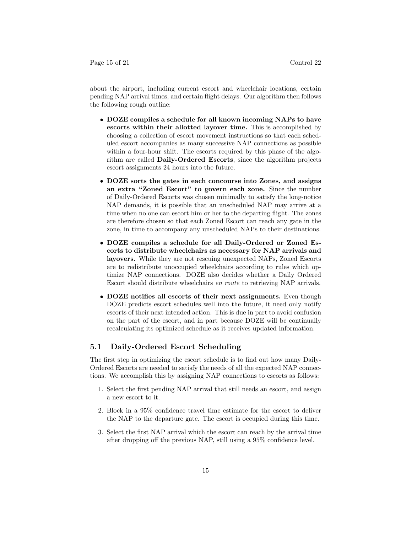Page 15 of 21 Control 22

about the airport, including current escort and wheelchair locations, certain pending NAP arrival times, and certain flight delays. Our algorithm then follows the following rough outline:

- DOZE compiles a schedule for all known incoming NAPs to have escorts within their allotted layover time. This is accomplished by choosing a collection of escort movement instructions so that each scheduled escort accompanies as many successive NAP connections as possible within a four-hour shift. The escorts required by this phase of the algorithm are called Daily-Ordered Escorts, since the algorithm projects escort assignments 24 hours into the future.
- DOZE sorts the gates in each concourse into Zones, and assigns an extra "Zoned Escort" to govern each zone. Since the number of Daily-Ordered Escorts was chosen minimally to satisfy the long-notice NAP demands, it is possible that an unscheduled NAP may arrive at a time when no one can escort him or her to the departing flight. The zones are therefore chosen so that each Zoned Escort can reach any gate in the zone, in time to accompany any unscheduled NAPs to their destinations.
- DOZE compiles a schedule for all Daily-Ordered or Zoned Escorts to distribute wheelchairs as necessary for NAP arrivals and layovers. While they are not rescuing unexpected NAPs, Zoned Escorts are to redistribute unoccupied wheelchairs according to rules which optimize NAP connections. DOZE also decides whether a Daily Ordered Escort should distribute wheelchairs en route to retrieving NAP arrivals.
- DOZE notifies all escorts of their next assignments. Even though DOZE predicts escort schedules well into the future, it need only notify escorts of their next intended action. This is due in part to avoid confusion on the part of the escort, and in part because DOZE will be continually recalculating its optimized schedule as it receives updated information.

## 5.1 Daily-Ordered Escort Scheduling

The first step in optimizing the escort schedule is to find out how many Daily-Ordered Escorts are needed to satisfy the needs of all the expected NAP connections. We accomplish this by assigning NAP connections to escorts as follows:

- 1. Select the first pending NAP arrival that still needs an escort, and assign a new escort to it.
- 2. Block in a 95% confidence travel time estimate for the escort to deliver the NAP to the departure gate. The escort is occupied during this time.
- 3. Select the first NAP arrival which the escort can reach by the arrival time after dropping off the previous NAP, still using a 95% confidence level.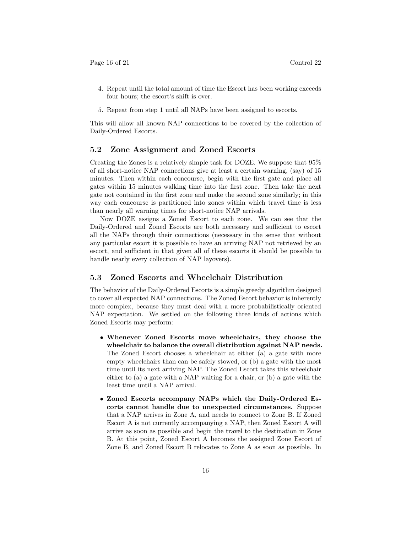Page 16 of 21 Control 22

- 4. Repeat until the total amount of time the Escort has been working exceeds four hours; the escort's shift is over.
- 5. Repeat from step 1 until all NAPs have been assigned to escorts.

This will allow all known NAP connections to be covered by the collection of Daily-Ordered Escorts.

#### 5.2 Zone Assignment and Zoned Escorts

Creating the Zones is a relatively simple task for DOZE. We suppose that 95% of all short-notice NAP connections give at least a certain warning, (say) of 15 minutes. Then within each concourse, begin with the first gate and place all gates within 15 minutes walking time into the first zone. Then take the next gate not contained in the first zone and make the second zone similarly; in this way each concourse is partitioned into zones within which travel time is less than nearly all warning times for short-notice NAP arrivals.

Now DOZE assigns a Zoned Escort to each zone. We can see that the Daily-Ordered and Zoned Escorts are both necessary and sufficient to escort all the NAPs through their connections (necessary in the sense that without any particular escort it is possible to have an arriving NAP not retrieved by an escort, and sufficient in that given all of these escorts it should be possible to handle nearly every collection of NAP layovers).

## 5.3 Zoned Escorts and Wheelchair Distribution

The behavior of the Daily-Ordered Escorts is a simple greedy algorithm designed to cover all expected NAP connections. The Zoned Escort behavior is inherently more complex, because they must deal with a more probabilistically oriented NAP expectation. We settled on the following three kinds of actions which Zoned Escorts may perform:

- Whenever Zoned Escorts move wheelchairs, they choose the wheelchair to balance the overall distribution against NAP needs. The Zoned Escort chooses a wheelchair at either (a) a gate with more empty wheelchairs than can be safely stowed, or (b) a gate with the most time until its next arriving NAP. The Zoned Escort takes this wheelchair either to (a) a gate with a NAP waiting for a chair, or (b) a gate with the least time until a NAP arrival.
- Zoned Escorts accompany NAPs which the Daily-Ordered Escorts cannot handle due to unexpected circumstances. Suppose that a NAP arrives in Zone A, and needs to connect to Zone B. If Zoned Escort A is not currently accompanying a NAP, then Zoned Escort A will arrive as soon as possible and begin the travel to the destination in Zone B. At this point, Zoned Escort A becomes the assigned Zone Escort of Zone B, and Zoned Escort B relocates to Zone A as soon as possible. In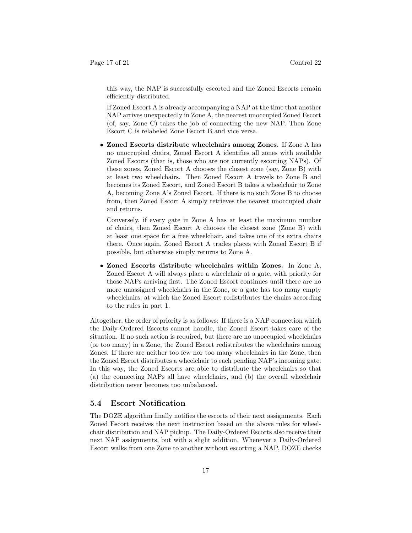this way, the NAP is successfully escorted and the Zoned Escorts remain efficiently distributed.

If Zoned Escort A is already accompanying a NAP at the time that another NAP arrives unexpectedly in Zone A, the nearest unoccupied Zoned Escort (of, say, Zone C) takes the job of connecting the new NAP. Then Zone Escort C is relabeled Zone Escort B and vice versa.

• Zoned Escorts distribute wheelchairs among Zones. If Zone A has no unoccupied chairs, Zoned Escort A identifies all zones with available Zoned Escorts (that is, those who are not currently escorting NAPs). Of these zones, Zoned Escort A chooses the closest zone (say, Zone B) with at least two wheelchairs. Then Zoned Escort A travels to Zone B and becomes its Zoned Escort, and Zoned Escort B takes a wheelchair to Zone A, becoming Zone A's Zoned Escort. If there is no such Zone B to choose from, then Zoned Escort A simply retrieves the nearest unoccupied chair and returns.

Conversely, if every gate in Zone A has at least the maximum number of chairs, then Zoned Escort A chooses the closest zone (Zone B) with at least one space for a free wheelchair, and takes one of its extra chairs there. Once again, Zoned Escort A trades places with Zoned Escort B if possible, but otherwise simply returns to Zone A.

• Zoned Escorts distribute wheelchairs within Zones. In Zone A, Zoned Escort A will always place a wheelchair at a gate, with priority for those NAPs arriving first. The Zoned Escort continues until there are no more unassigned wheelchairs in the Zone, or a gate has too many empty wheelchairs, at which the Zoned Escort redistributes the chairs according to the rules in part 1.

Altogether, the order of priority is as follows: If there is a NAP connection which the Daily-Ordered Escorts cannot handle, the Zoned Escort takes care of the situation. If no such action is required, but there are no unoccupied wheelchairs (or too many) in a Zone, the Zoned Escort redistributes the wheelchairs among Zones. If there are neither too few nor too many wheelchairs in the Zone, then the Zoned Escort distributes a wheelchair to each pending NAP's incoming gate. In this way, the Zoned Escorts are able to distribute the wheelchairs so that (a) the connecting NAPs all have wheelchairs, and (b) the overall wheelchair distribution never becomes too unbalanced.

### 5.4 Escort Notification

The DOZE algorithm finally notifies the escorts of their next assignments. Each Zoned Escort receives the next instruction based on the above rules for wheelchair distribution and NAP pickup. The Daily-Ordered Escorts also receive their next NAP assignments, but with a slight addition. Whenever a Daily-Ordered Escort walks from one Zone to another without escorting a NAP, DOZE checks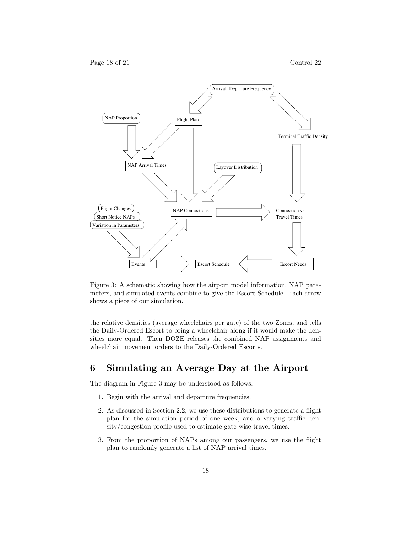

Figure 3: A schematic showing how the airport model information, NAP parameters, and simulated events combine to give the Escort Schedule. Each arrow shows a piece of our simulation.

the relative densities (average wheelchairs per gate) of the two Zones, and tells the Daily-Ordered Escort to bring a wheelchair along if it would make the densities more equal. Then DOZE releases the combined NAP assignments and wheelchair movement orders to the Daily-Ordered Escorts.

# 6 Simulating an Average Day at the Airport

The diagram in Figure 3 may be understood as follows:

- 1. Begin with the arrival and departure frequencies.
- 2. As discussed in Section 2.2, we use these distributions to generate a flight plan for the simulation period of one week, and a varying traffic density/congestion profile used to estimate gate-wise travel times.
- 3. From the proportion of NAPs among our passengers, we use the flight plan to randomly generate a list of NAP arrival times.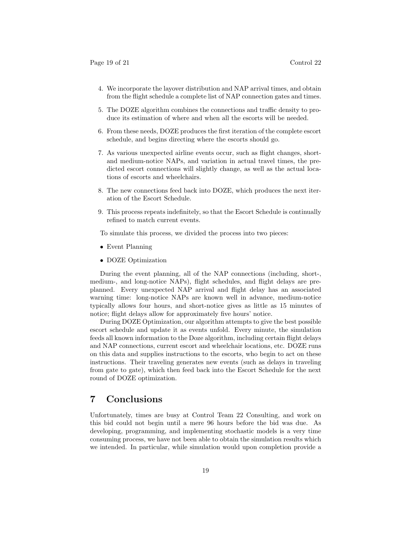- 4. We incorporate the layover distribution and NAP arrival times, and obtain from the flight schedule a complete list of NAP connection gates and times.
- 5. The DOZE algorithm combines the connections and traffic density to produce its estimation of where and when all the escorts will be needed.
- 6. From these needs, DOZE produces the first iteration of the complete escort schedule, and begins directing where the escorts should go.
- 7. As various unexpected airline events occur, such as flight changes, shortand medium-notice NAPs, and variation in actual travel times, the predicted escort connections will slightly change, as well as the actual locations of escorts and wheelchairs.
- 8. The new connections feed back into DOZE, which produces the next iteration of the Escort Schedule.
- 9. This process repeats indefinitely, so that the Escort Schedule is continually refined to match current events.

To simulate this process, we divided the process into two pieces:

- Event Planning
- DOZE Optimization

During the event planning, all of the NAP connections (including, short-, medium-, and long-notice NAPs), flight schedules, and flight delays are preplanned. Every unexpected NAP arrival and flight delay has an associated warning time: long-notice NAPs are known well in advance, medium-notice typically allows four hours, and short-notice gives as little as 15 minutes of notice; flight delays allow for approximately five hours' notice.

During DOZE Optimization, our algorithm attempts to give the best possible escort schedule and update it as events unfold. Every minute, the simulation feeds all known information to the Doze algorithm, including certain flight delays and NAP connections, current escort and wheelchair locations, etc. DOZE runs on this data and supplies instructions to the escorts, who begin to act on these instructions. Their traveling generates new events (such as delays in traveling from gate to gate), which then feed back into the Escort Schedule for the next round of DOZE optimization.

# 7 Conclusions

Unfortunately, times are busy at Control Team 22 Consulting, and work on this bid could not begin until a mere 96 hours before the bid was due. As developing, programming, and implementing stochastic models is a very time consuming process, we have not been able to obtain the simulation results which we intended. In particular, while simulation would upon completion provide a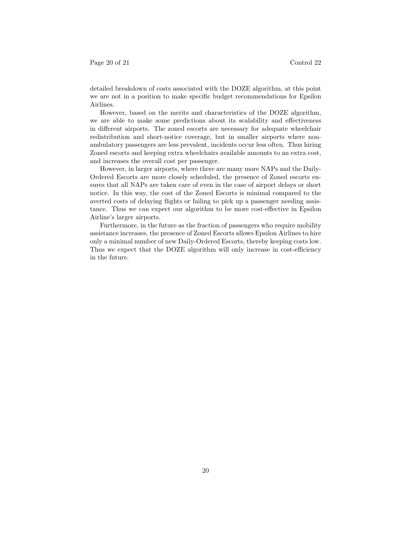detailed breakdown of costs associated with the DOZE algorithm, at this point we are not in a position to make specific budget recommendations for Epsilon Airlines.

However, based on the merits and characteristics of the DOZE algorithm, we are able to make some predictions about its scalability and effectiveness in different airports. The zoned escorts are necessary for adequate wheelchair redistribution and short-notice coverage, but in smaller airports where nonambulatory passengers are less prevalent, incidents occur less often. Thus hiring Zoned escorts and keeping extra wheelchairs available amounts to an extra cost, and increases the overall cost per passenger.

However, in larger airports, where there are many more NAPs and the Daily-Ordered Escorts are more closely scheduled, the presence of Zoned escorts ensures that all NAPs are taken care of even in the case of airport delays or short notice. In this way, the cost of the Zoned Escorts is minimal compared to the averted costs of delaying flights or failing to pick up a passenger needing assistance. Thus we can expect our algorithm to be more cost-effective in Epsilon Airline's larger airports.

Furthermore, in the future as the fraction of passengers who require mobility assistance increases, the presence of Zoned Escorts allows Epsilon Airlines to hire only a minimal number of new Daily-Ordered Escorts, thereby keeping costs low. Thus we expect that the DOZE algorithm will only increase in cost-efficiency in the future.